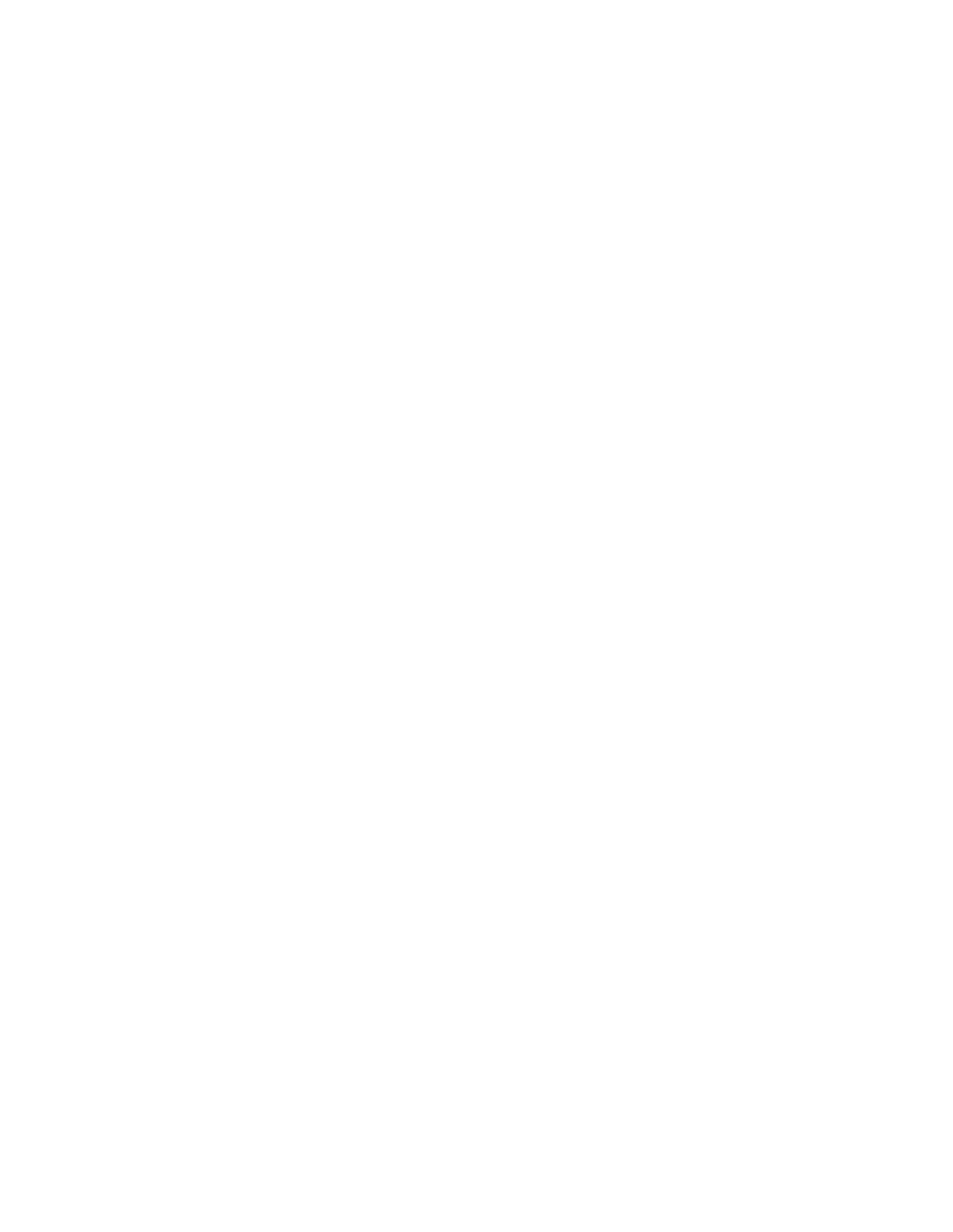

December 11, 2017

Planning Division City of Union City 34009 Alvarado-Niles Road Union City, California 94587

Subject: Historical Evaluation of the Santos Family Property including the buildings at 31088 Vallejo Street, 31150 Horner Street, and 31063 and 31067 Watkins Street, Union City, Alameda County, California.

Dear Avalon,

The letter report that follows, along with the DPR 523 forms attached, comprise the evaluation of the property at 31088 Vallejo Street, 31150 Horner Street, and 31063 and 31067 Watkins Street, Union City, as required by the City of Union City Planning Division.

# **Methodology**

Kara Brunzell conducted a site visit on August 3, 2016. The site visit included collecting photographs of all elevations of the seven buildings on the property, the parcel, and the neighborhood setting. Kara Brunzell conducted a record search of the subject property at the Northwest Information Center (NWIC), located at California State University, Sonoma, deed research at the Alameda County Recorder's and Assessor's offices, permit review at the Union City Building Department, and online research at ancestry.com and other websites. In addition, she conducted research through the Fremont branch of the Alameda County Library and the Washington Township Museum of Local History.

# **Summary of Findings**

The record search at the NWIC did not reveal any previous surveys of the parcel. The City of Union City's Planning Department, however, provided a copy of a DPR 523 form documenting the Silver Dollar Café and Tavern. Local historian Timothy Swenson prepared the DPR 523 form in 2015 but did not submit it to the NWIC. The City also provided access to a document entitled "Design Guidelines for Old Alvarado" that a planning consultant prepared in 1989. The "Design Guidelines" document, while outdated in some respects, provided useful background information regarding Alvarado's history and built environment. Because this evaluation is undertaken pursuant to CEQA, all resources discovered during the field survey require evaluation for California Register of Historical Resources (CRHR). The property was also evaluated for National Register of Historic Places (NRHP) eligibility, and according to Section 18.106.240 of the City of Union City's Municipal Code, which sets forth local criteria for inclusion in the City's Landmarks and Historic Preservation Overlay (LHP) Zone. The seven buildings evaluated are located at the following four addresses on a single large parcel:

- 31150 Horner Street, the vacant former Silver Dollar Café and Tavern building
- 31063 and 31067 Watkins Street, a duplex building that comprises two residential units and two integral garages;
- 31088 Vallejo Street, which includes:
	- o the Tudor-style house fronting onto Vallejo Street
	- o a small clapboard shed south of the house and driveway
	- o a single-car garage immediately behind the house to the east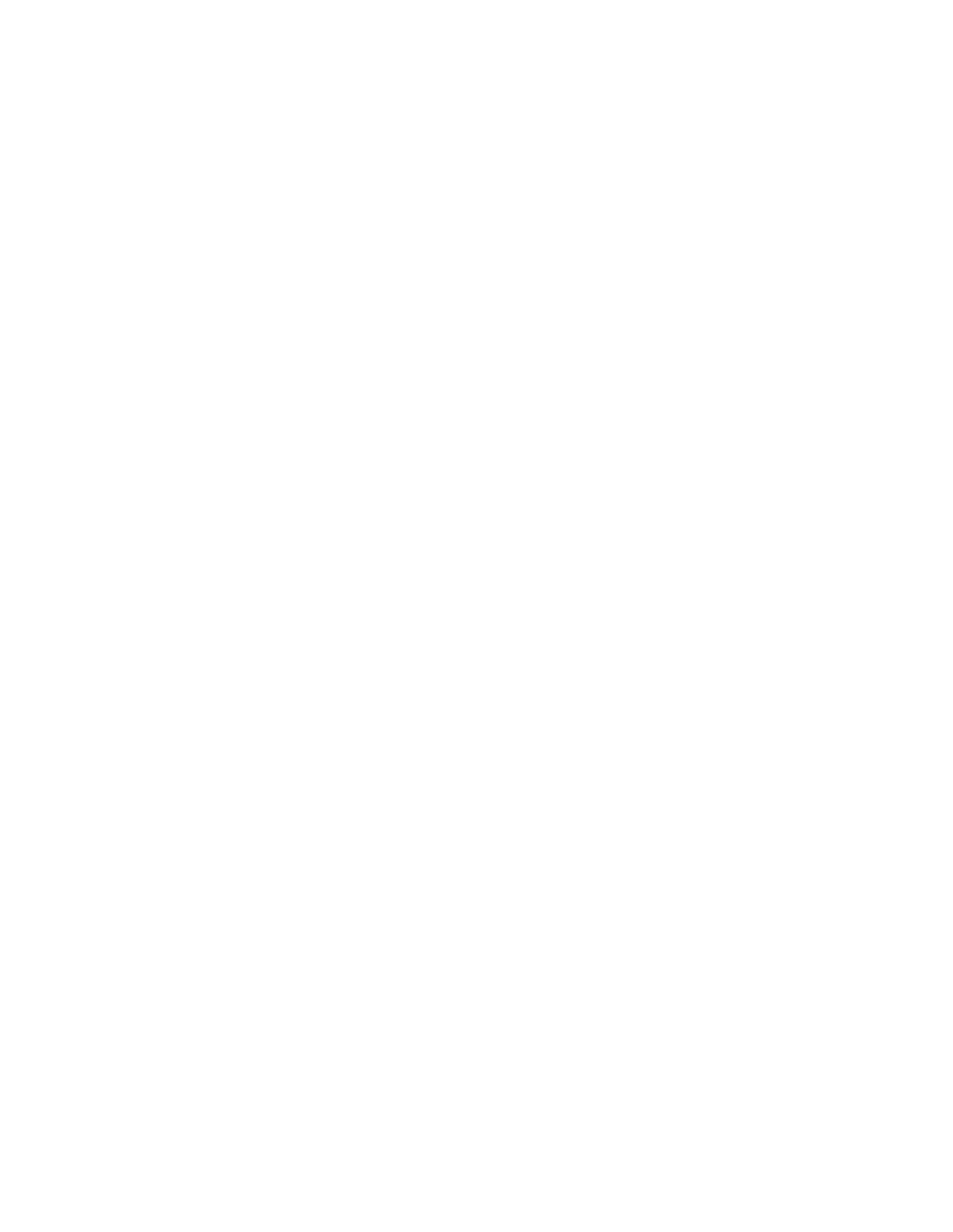- o an accessory residential building adjacent to the east elevation of the garage (listed on County of Alameda Residential Building Record as "Rumpus Room A")
- o an accessory residential building at the approximate center of the property (listed on County of Alameda Residential Building Record as "Rumpus Room B") .

This report evaluates the seven buildings for historical significance and integrity both individually and as a district The National Park Service defines a district as follows. "A district possesses a significant concentration, linkage, or continuity of sites, buildings, structures, or objects united historically or aesthetically by plan or physical development." These buildings on the property are concentrated on a single large parcel and therefore linked physically by their siting. They are also united by their shared land-use history of development over time by a single family for use by its members. Therefore, the property has been evaluated on a DPR 523 d (district) form, and its individual resources documented on primary forms.

### *National Register of Historic Places*

The quality of significance in American history, architecture, archeology, engineering, and culture is present in districts, sites, buildings, structures, and objects that possess integrity of location, design, setting, materials, workmanship, feeling, and association, and:

- A. That are associated with events that have made a significant contribution to the broad patterns of our history; or
- B. That are associated with the lives of significant persons in our past; or
- C. That embody the distinctive characteristics of a type, period, or method of construction, or that represent the work of a master, or that possess high artistic values, or that represent a significant and distinguishable entity whose components may lack individual distinction; or
- D. That have yielded or may be likely to yield, information important in history or prehistory.

Under most circumstances, a property<sup>1</sup> must be at least fifty years old before it can be evaluated for historic significance under NRHP criteria.

#### *California Register of Historical Resources*

 $\overline{a}$ 

The criteria for listing historical resources in the California Register are consistent with those developed by the National Park Service for listing historical resources in the National Register, but have been modified for state use in order to include a range of historical resources which better reflect the history of California (CCR 4852) . For a property to be eligible for inclusion on the CRHR, one or more of the following criteria must be met:

- 1. It is associated with the events that have made a significant contribution to the broad patterns of local or regional history, or the cultural heritage of California or the United States;
- 2. It is associated with the lives of persons important to local, California, or national history;
- 3. It embodies the distinctive characteristics of a type, period, region, or method of construction, or represents the work of a master, or possesses high artistic values; and/or
- 4. It has yielded, or has the potential to yield, information important to the prehistory or history of the local area, California, or the nation.

<sup>1</sup> For the purposes of historic documentation, survey, and evaluation "property" refers to a historic-period building or structure and its parcel or site.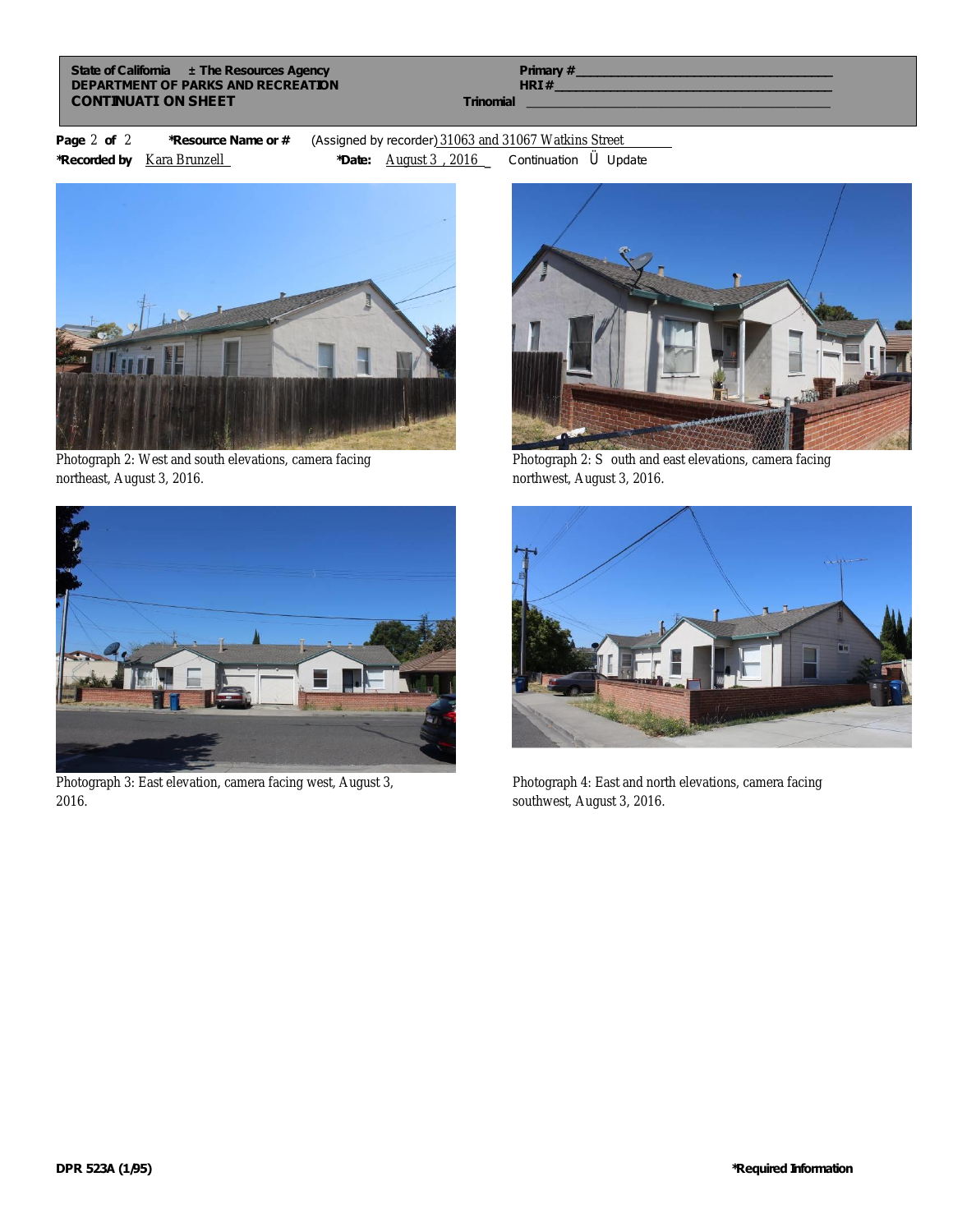Under most circumstances, a property must be at least fifty years old before it can be evaluated for historic significance under CRHR criteria. The CRHR also requires that a resource possess historic integrity.

## *City of Union City*

The zoning ordinance in the City of Union City's municipal code sets forth criteria for inclusion in its LHP Zone. These criteria for designation are modeled on NRHP and CRHR standards, but stated somewhat differently. Age and integrity requirements, and the definition of historic districts are stated within the criteria (rather than separately as with the state and national standards). Union City Criterion A focuses primarily on aesthetic qualities and is intended to correspond to NRHP/CRHR Criterion C/3 (architecture and design). Union City Criterion C covers the aspects of historical significance that are split into NRHP/CRHR Criteria A/1 and B/2 (events and persons). Union City Criterion B is a locally unique category that deals with rarity. (Although historic preservation professionals, cultural resource managers, architects, local historical societies, preservation advocacy groups, historic property owners, State Historic Preservation Officers, city planners, and other interested parties familiar with historic preservation practices tacitly accept rarity to be a factor in historic eligibility, it is not an explicitly codified element of the NRHP or CRHR significance criteria.)

### Municipal Code Section 18.106.240

## Designation findings.

The Planning Commission may approve a nomination application for, and the City Council may designate, a structure, improvement, natural feature, object or area for designation as a cultural resource or historic district if it finds that the structure, improvement, natural feature, object or area meets the following criteria:

A. It exemplifies or reflects a special element of the City's cultural, social, economic, political, aesthetic, architectural or natural history and possesses an integrity of location, design, setting, materials, workmanship, feeling and association, and

1. It embodies distinctive characteristics of style, type, period or method of construction, or is a valuable example of the use of indigenous materials or craftsmanship, or

2. It contributes to the significance of a historic area being a geographically definable area possessing a concentration of historic or scenic properties or thematically related grouping of properties or properties which contribute to each other and are unified aesthetically by plan or physical development, or

3. It embodies elements of architectural design, detail materials or craftsmanship that represents a significant structural or architectural achievement or innovation, or 4. It has a unique location or singular physical characteristic or is a view or vista representing an established and familiar visual feature of a neighborhood, community or the City of Union City, or

5. It is at least forty-five (45) years of age;

- B. It is one (1) of the few remaining examples in the City, region, state or nation possessing distinguishing characteristics of an architectural or historical type or specimen;
- C. It is identified with persons or events significant in local, state, or national history.

#### **Evaluation**

Criterion A/1/C (historically significant events): The Santos Family Property is not eligible for historic listing to the NRHP under Criterion A, the CRHR under Criterion 1, or Union City's LHP under Criterion C. The residential and commercial buildings on the parcel were constructed between c1927 and c1950, within the general context of the twentieth century residential and commercial development of Alvarado (which became part of Union City after the buildings were constructed). Every building constructed is at least tangentially connected to one or more specific historic contexts, however, most buildings are not historically significant according to NRHP, CRHR, or local criteria. The Santos House on Vallejo Street and the duplex on Watkins Street were both loosely associated with residential development and growth in Alvarado. They were among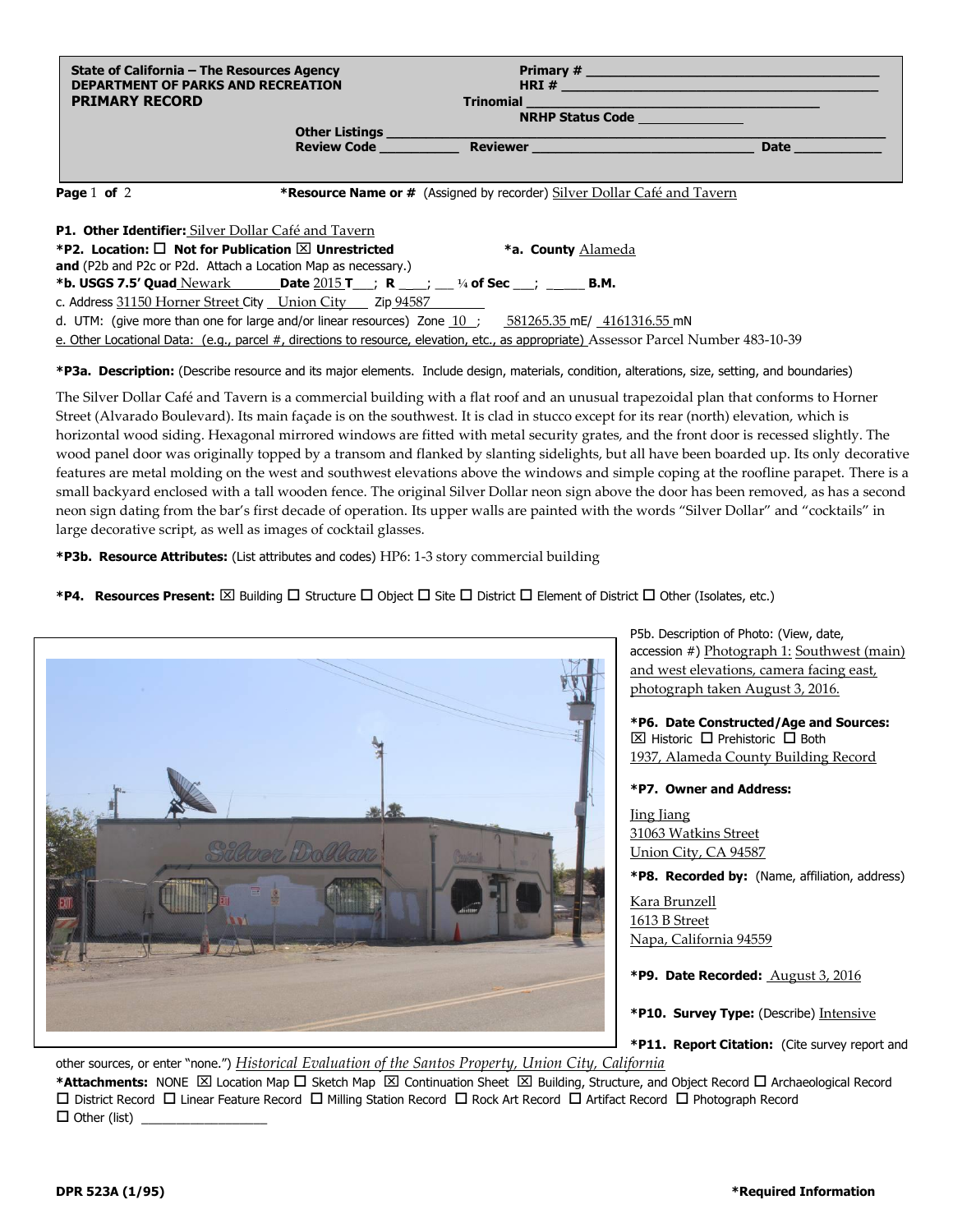many such dwellings constructed, and research has revealed no important association between the dwellings on the property and this historic trend. Therefore they are ineligible for individual historic listing for their historical associations.

Likewise, the Silver Dollar Café and Tavern (constructed c1938) was associated with commercial development in Alvarado. It was one of several bars that opened (or re-opened) in Alvarado after the repeal of Prohibition in 1933. Thirty years later, the Silver Dollar was still just one of a half dozen bars in the immediate area. Extensive research has not revealed any important associations between this particular business and the commercial development of Alvarado. Nor is there evidence that the bar was a significant cultural or social locus for the community. Therefore it is ineligible for individual historic listing based on its association with historical trends. In addition to the bar's lack of significance, its integrity has been compromised to the point that even if future research revealed historical significance it would be unlikely to be eligible for historic listing. When the Nimitz Freeway was constructed, Horner Street lost its historical status as a highway, significantly altering the *setting*. Demolition of the adjacent gas station c1961 further compromised the setting. Integrity of *feeling* and *association* are especially important for buildings that lack architectural distinction. Integrity of *association* was lost when the Silver Dollar ceased operation as a tavern c2014. Degradation of most other aspects of integrity combine to form a lack of integrity of *feeling*.

The garage, shed, and two accessory residential buildings are ancillary buildings constructed to provide storage and extra living space for the residents of the house and duplex. As such, they would only be eligible for historic listing based on their association with the house and duplex. Since those buildings are not significantly associated with an important historic context, the ancillary buildings are similarly lacking in historic significance..

Criterion B/2/C (historically significant persons): The Santos Family Property is not eligible for historic listing to the NRHP under Criterion B, the CRHR under Criterion 2, or Union City's LHP under Criterion C. Although members of the Santos family were active in the local community in various capacities during their lifetimes and were somewhat prominent as local business operators, research does not indicate that they were important to local history or influenced historical trends. Therefore, none of the buildings on the Santos Family Property is individually eligible for historic listing due to its association with persons important to history.

Criterion  $C/3/A$  (architecture and design): The Santos Family Property is not eligible to the NRHP under Criterion C, the CRHR under Criterion 3, or Union City's LHP under Criterion A. The Santos House on Vallejo Street is a modest example of a Tudor-style house from the 1920s. The style was popular from about 1890 until 1940, and was inspired by English medieval and Renaissance architecture. The Santos House's steeply-pitched cross-gabled roof, arched entry door, and massive chimney are features that associate the residence with modest examples of the style. According to Virginia McAlester, the most widely respected expert on historic American houses, roughly a quarter of the houses constructed during the 1920s were Tudor style, so it was a common type of residence during this era. The Santos House lacks the decorative features and elaborations that distinguish architecturally significant examples of Tudor architecture, including half-timbered cladding, brick and or stone masonry cladding or trim, strapwork, decorative chimney pots, carved wooden doors, and windows with multiple small panes. Alterations over the years, especially the large hipped-roof addition at the rear and porch enclosure on the south elevation, have also compromised its integrity of *design, materials,* and *workmanship*. Therefore the house is not eligible for historic listing for its architecture.

The Silver Dollar building is a primarily utilitarian example of a commercial building constructed to house a bar after Prohibition. Its small hexagonal windows were commonly incorporated into bar buildings during this period in order to make drinkers less visible to children and other passersby. The building's flat roof, irregular plan that conforms to the slant of the road, lack of entry porch or permanent awning, and cladding that is different on front and rear elevations are all features of a building constructed to be inexpensive rather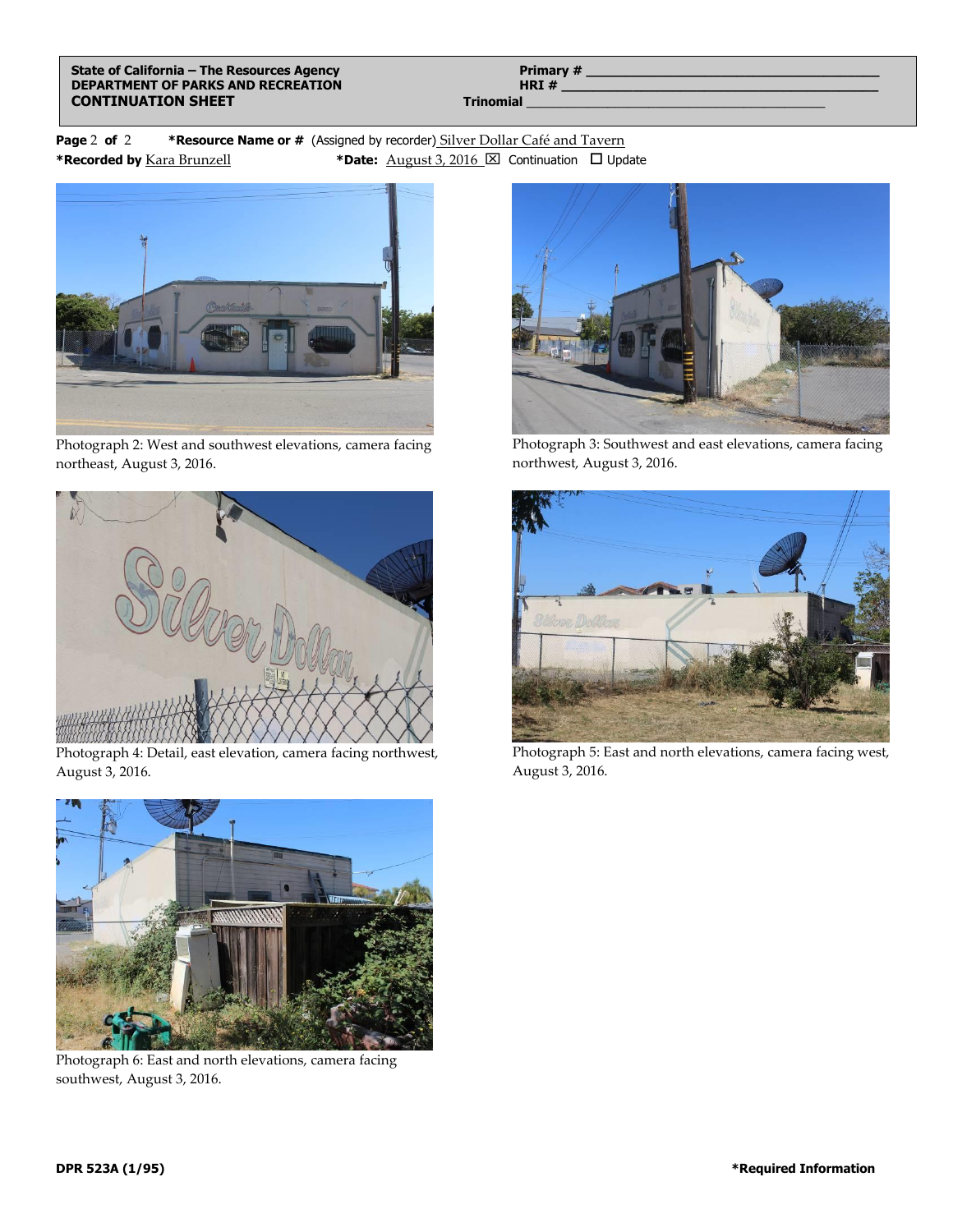than according to particular design principles. Its only extant decorative features are minimal molding on wall surfaces and coping at its parapets. For simple buildings such as this one, even minor alterations can significantly degrade historic integrity. Its two original neon signs have been removed, destroying the building's most characteristic decorative features. Other alterations have also been performed, such as replacement of the original door, boarding up of transoms and sidelights, installation of security bars over windows, and installation of a rooftop satellite dish. These modifications, in aggregate, significantly compromise its integrity of *design*, *workmanship*, and *materials*. Therefore, the Silver Dollar Café and Tavern is not eligible for historic listing for its architecture.

The duplex on Watkins Street is a common example of Minimal Traditional architecture, the most popular style for inexpensive houses and small multi-family buildings when it was constructed. It lacks architectural distinction and is therefore not eligible for historic listing for its architecture.

The garage, shed, and two accessory residential buildings are ancillary buildings that lack decorative or aesthetic qualities and are not eligible for historic listing for their architecture.

To sum up, none of the buildings on the property embodies the distinctive characteristics of a type, period, or method of construction, represents the work of a master, possesses high artistic values, or is a valuable example of the use of indigenous materials or craftsmanship. Nor do any of the buildings embody elements of architectural design, detail materials or craftsmanship that represents a significant structural or architectural achievement or innovation. Therefore, none of the elements of the Santos Family Property qualifies for historic listing at any level for their architecture or design.

Criterion  $D/4$ : The Santos Family Property is not a likely source of information about history or prehistory, and is therefore not eligible to the NRHP under Criterion D or the CRHR under Criterion 4.

Union City LHP Criterion B: None of the buildings on Santos Family Property can be considered rare in Union City, the region, state, or nation. As stated above, the house and duplex on the property were types of dwellings commonly constructed during the twentieth century. There are many examples of these building types and architectural styles throughout the region. The Silver Dollar is an example of a utilitarian commercial building from the 1930s, and lacks strong distinguishing aesthetic or design characteristics. As such it does not qualify as one of a few remaining examples of an architectural or historical type. The ancillary buildings on the parcel are also utilitarian in style and as such do not qualify as rare. Therefore the property is not eligible for local listing under LHP Criterion B.

Historic District Evaluation: A district derives its importance from being a unified entity (even though they are frequently composed of a wide variety of resources). A district must possess significance, as well as being an identifiable entity, to qualify for historic listing. It must be important for historical, architectural, archeological, engineering, or cultural values. Therefore, districts that are significant under the NRHP criteria will usually meet the last portion of Criterion C (represent a significant and distinguishable entity whose components may lack individual distinction) in addition to another criterion. The Santos Family Property does not meet this standard because although it is a distinguishable entity, it lacks the historical or architectural significance required for listing as a historic district. Therefore the property is not eligible for listing as a historic district at any level.

#### **Historic Status**

None of the buildings on the Santos Family Property are eligible for historic listing either individually or as contributors to a historic district. Therefore does not qualify as a historic resource, and should be assigned